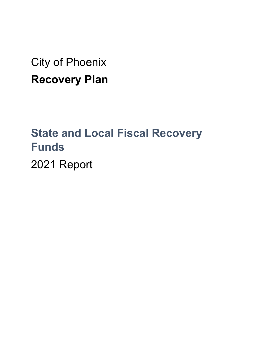City of Phoenix **Recovery Plan** 

# **State and Local Fiscal Recovery Funds**

2021 Report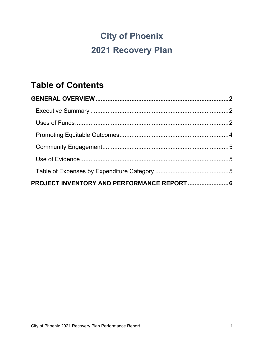## **City of Phoenix 2021 Recovery Plan**

## **Table of Contents**

| PROJECT INVENTORY AND PERFORMANCE REPORT  6 |  |
|---------------------------------------------|--|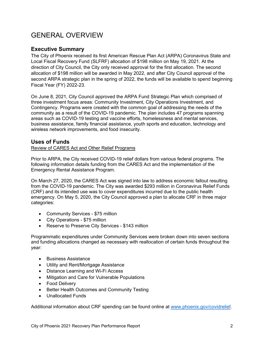### <span id="page-2-0"></span>GENERAL OVERVIEW

#### <span id="page-2-1"></span>**Executive Summary**

The City of Phoenix received its first American Rescue Plan Act (ARPA) Coronavirus State and Local Fiscal Recovery Fund (SLFRF) allocation of \$198 million on May 19, 2021. At the direction of City Council, the City only received approval for the first allocation. The second allocation of \$198 million will be awarded in May 2022, and after City Council approval of the second ARPA strategic plan in the spring of 2022, the funds will be available to spend beginning Fiscal Year (FY) 2022-23.

On June 8, 2021, City Council approved the ARPA Fund Strategic Plan which comprised of three investment focus areas: Community Investment, City Operations Investment, and Contingency. Programs were created with the common goal of addressing the needs of the community as a result of the COVID-19 pandemic. The plan includes 47 programs spanning areas such as COVID-19 testing and vaccine efforts, homelessness and mental services, business assistance, family financial assistance, youth sports and education, technology and wireless network improvements, and food insecurity.

#### <span id="page-2-2"></span>**Uses of Funds**

#### Review of CARES Act and Other Relief Programs

Prior to ARPA, the City received COVID-19 relief dollars from various federal programs. The following information details funding from the CARES Act and the implementation of the Emergency Rental Assistance Program.

On March 27, 2020, the CARES Act was signed into law to address economic fallout resulting from the COVID-19 pandemic. The City was awarded \$293 million in Coronavirus Relief Funds (CRF) and its intended use was to cover expenditures incurred due to the public health emergency. On May 5, 2020, the City Council approved a plan to allocate CRF in three major categories:

- Community Services \$75 million
- City Operations \$75 million
- Reserve to Preserve City Services \$143 million

Programmatic expenditures under Community Services were broken down into seven sections and funding allocations changed as necessary with reallocation of certain funds throughout the year:

- Business Assistance
- Utility and Rent/Mortgage Assistance
- Distance Learning and Wi-Fi Access
- Mitigation and Care for Vulnerable Populations
- Food Delivery
- Better Health Outcomes and Community Testing
- Unallocated Funds

Additional information about CRF spending can be found online at [www.phoenix.gov/covidrelief.](http://www.phoenix.gov/covidrelief)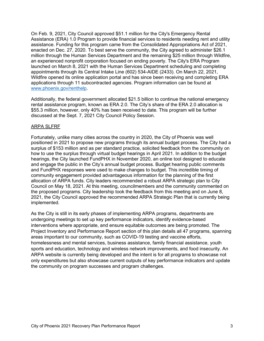On Feb. 9, 2021, City Council approved \$51.1 million for the City's Emergency Rental Assistance (ERA) 1.0 Program to provide financial services to residents needing rent and utility assistance. Funding for this program came from the Consolidated Appropriations Act of 2021, enacted on Dec. 27, 2020. To best serve the community, the City agreed to administer \$26.1 million through the Human Services Department and the remaining \$25 million through Wildfire, an experienced nonprofit corporation focused on ending poverty. The City's ERA Program launched on March 8, 2021 with the Human Services Department scheduling and completing appointments through its Central Intake Line (602) 534-AIDE (2433). On March 22, 2021, Wildfire opened its online application portal and has since been receiving and completing ERA applications through 11 subcontracted agencies. Program information can be found at [www.phoenix.gov/renthelp.](http://www.phoenix.gov/renthelp)

Additionally, the federal government allocated \$21.5 billion to continue the national emergency rental assistance program, known as ERA 2.0. The City's share of the ERA 2.0 allocation is \$55.3 million, however, only 40% has been received to date. This program will be further discussed at the Sept. 7, 2021 City Council Policy Session.

#### ARPA SLFRF

Fortunately, unlike many cities across the country in 2020, the City of Phoenix was well positioned in 2021 to propose new programs through its annual budget process. The City had a surplus of \$153 million and as per standard practice, solicited feedback from the community on how to use the surplus through virtual budget hearings in April 2021. In addition to the budget hearings, the City launched FundPHX in November 2020, an online tool designed to educate and engage the public in the City's annual budget process. Budget hearing public comments and FundPHX responses were used to make changes to budget. This incredible timing of community engagement provided advantageous information for the planning of the first allocation of ARPA funds. City leaders recommended a robust ARPA strategic plan to City Council on May 18, 2021. At this meeting, councilmembers and the community commented on the proposed programs. City leadership took the feedback from this meeting and on June 8, 2021, the City Council approved the recommended ARPA Strategic Plan that is currently being implemented.

As the City is still in its early phases of implementing ARPA programs, departments are undergoing meetings to set up key performance indicators, identify evidence-based interventions where appropriate, and ensure equitable outcomes are being promoted. The Project Inventory and Performance Report section of this plan details all 47 programs, spanning areas important to our community, such as COVID-19 testing and vaccine efforts, homelessness and mental services, business assistance, family financial assistance, youth sports and education, technology and wireless network improvements, and food insecurity. An ARPA website is currently being developed and the intent is for all programs to showcase not only expenditures but also showcase current outputs of key performance indicators and update the community on program successes and program challenges.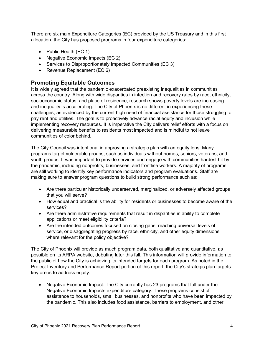There are six main Expenditure Categories (EC) provided by the US Treasury and in this first allocation, the City has proposed programs in four expenditure categories:

- Public Health (EC 1)
- Negative Economic Impacts (EC 2)
- Services to Disproportionately Impacted Communities (EC 3)
- Revenue Replacement (EC 6)

#### <span id="page-4-0"></span>**Promoting Equitable Outcomes**

It is widely agreed that the pandemic exacerbated preexisting inequalities in communities across the country. Along with wide disparities in infection and recovery rates by race, ethnicity, socioeconomic status, and place of residence, research shows poverty levels are increasing and inequality is accelerating. The City of Phoenix is no different in experiencing these challenges, as evidenced by the current high need of financial assistance for those struggling to pay rent and utilities. The goal is to proactively advance racial equity and inclusion while implementing recovery resources. It is imperative the City delivers relief efforts with a focus on delivering measurable benefits to residents most impacted and is mindful to not leave communities of color behind.

The City Council was intentional in approving a strategic plan with an equity lens. Many programs target vulnerable groups, such as individuals without homes, seniors, veterans, and youth groups. It was important to provide services and engage with communities hardest hit by the pandemic, including nonprofits, businesses, and frontline workers. A majority of programs are still working to identify key performance indicators and program evaluations. Staff are making sure to answer program questions to build strong performance such as:

- Are there particular historically underserved, marginalized, or adversely affected groups that you will serve?
- How equal and practical is the ability for residents or businesses to become aware of the services?
- Are there administrative requirements that result in disparities in ability to complete applications or meet eligibility criteria?
- Are the intended outcomes focused on closing gaps, reaching universal levels of service, or disaggregating progress by race, ethnicity, and other equity dimensions where relevant for the policy objective?

The City of Phoenix will provide as much program data, both qualitative and quantitative, as possible on its ARPA website, debuting later this fall. This information will provide information to the public of how the City is achieving its intended targets for each program. As noted in the Project Inventory and Performance Report portion of this report, the City's strategic plan targets key areas to address equity:

• Negative Economic Impact: The City currently has 23 programs that full under the Negative Economic Impacts expenditure category. These programs consist of assistance to households, small businesses, and nonprofits who have been impacted by the pandemic. This also includes food assistance, barriers to employment, and other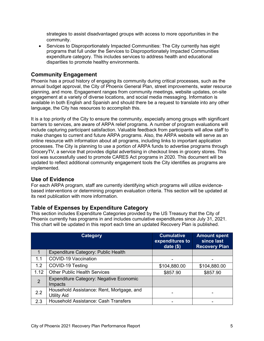strategies to assist disadvantaged groups with access to more opportunities in the community.

• Services to Disproportionately Impacted Communities: The City currently has eight programs that full under the Services to Disproportionately Impacted Communities expenditure category. This includes services to address health and educational disparities to promote healthy environments.

#### <span id="page-5-0"></span>**Community Engagement**

Phoenix has a proud history of engaging its community during critical processes, such as the annual budget approval, the City of Phoenix General Plan, street improvements, water resource planning, and more. Engagement ranges from community meetings, website updates, on-site engagement at a variety of diverse locations, and social media messaging. Information is available in both English and Spanish and should there be a request to translate into any other language, the City has resources to accomplish this.

It is a top priority of the City to ensure the community, especially among groups with significant barriers to services, are aware of ARPA relief programs. A number of program evaluations will include capturing participant satisfaction. Valuable feedback from participants will allow staff to make changes to current and future ARPA programs. Also, the ARPA website will serve as an online resource with information about all programs, including links to important application processes. The City is planning to use a portion of ARPA funds to advertise programs through GroceryTV, a service that provides digital advertising in checkout lines in grocery stores. This tool was successfully used to promote CARES Act programs in 2020. This document will be updated to reflect additional community engagement tools the City identifies as programs are implemented.

#### <span id="page-5-1"></span>**Use of Evidence**

For each ARPA program, staff are currently identifying which programs will utilize evidencebased interventions or determining program evaluation criteria. This section will be updated at its next publication with more information.

#### <span id="page-5-2"></span>**Table of Expenses by Expenditure Category**

This section includes Expenditure Categories provided by the US Treasury that the City of Phoenix currently has programs in and includes cumulative expenditures since July 31, 2021. This chart will be updated in this report each time an updated Recovery Plan is published.

|                | <b>Category</b>                                                 | <b>Cumulative</b><br>expenditures to<br>date $($ math) | <b>Amount spent</b><br>since last<br><b>Recovery Plan</b> |
|----------------|-----------------------------------------------------------------|--------------------------------------------------------|-----------------------------------------------------------|
|                | Expenditure Category: Public Health                             |                                                        |                                                           |
| 1.1            | <b>COVID-19 Vaccination</b>                                     |                                                        |                                                           |
| 1.2            | COVID-19 Testing                                                | \$104,880.00                                           | \$104,880.00                                              |
| 1.12           | <b>Other Public Health Services</b>                             | \$857.90                                               | \$857.90                                                  |
| $\overline{2}$ | <b>Expenditure Category: Negative Economic</b><br>Impacts       |                                                        |                                                           |
| 2.2            | Household Assistance: Rent, Mortgage, and<br><b>Utility Aid</b> | ۰                                                      |                                                           |
| 2.3            | <b>Household Assistance: Cash Transfers</b>                     |                                                        |                                                           |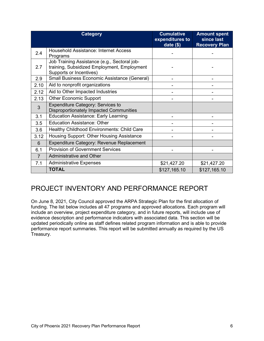|                | <b>Category</b>                                                                                                        | <b>Cumulative</b><br>expenditures to<br>date $($)$ | <b>Amount spent</b><br>since last<br><b>Recovery Plan</b> |
|----------------|------------------------------------------------------------------------------------------------------------------------|----------------------------------------------------|-----------------------------------------------------------|
| 2.4            | <b>Household Assistance: Internet Access</b><br>Programs                                                               |                                                    |                                                           |
| 2.7            | Job Training Assistance (e.g., Sectoral job-<br>training, Subsidized Employment, Employment<br>Supports or Incentives) |                                                    |                                                           |
| 2.9            | Small Business Economic Assistance (General)                                                                           |                                                    |                                                           |
| 2.10           | Aid to nonprofit organizations                                                                                         |                                                    |                                                           |
| 2.12           | Aid to Other Impacted Industries                                                                                       |                                                    |                                                           |
| 2.13           | <b>Other Economic Support</b>                                                                                          |                                                    |                                                           |
| $\overline{3}$ | <b>Expenditure Category: Services to</b><br><b>Disproportionately Impacted Communities</b>                             |                                                    |                                                           |
| 3.1            | <b>Education Assistance: Early Learning</b>                                                                            |                                                    |                                                           |
| 3.5            | <b>Education Assistance: Other</b>                                                                                     |                                                    |                                                           |
| 3.6            | Healthy Childhood Environments: Child Care                                                                             |                                                    |                                                           |
| 3.12           | Housing Support: Other Housing Assistance                                                                              |                                                    |                                                           |
| 6              | Expenditure Category: Revenue Replacement                                                                              |                                                    |                                                           |
| 6.1            | <b>Provision of Government Services</b>                                                                                |                                                    |                                                           |
| $\overline{7}$ | <b>Administrative and Other</b>                                                                                        |                                                    |                                                           |
| 7.1            | <b>Administrative Expenses</b>                                                                                         | \$21,427.20                                        | \$21,427.20                                               |
|                | <b>TOTAL</b>                                                                                                           | \$127,165.10                                       | \$127,165.10                                              |

### <span id="page-6-0"></span>PROJECT INVENTORY AND PERFORMANCE REPORT

On June 8, 2021, City Council approved the ARPA Strategic Plan for the first allocation of funding. The list below includes all 47 programs and approved allocations. Each program will include an overview, project expenditure category, and in future reports, will include use of evidence description and performance indicators with associated data. This section will be updated periodically online as staff defines related program information and is able to provide performance report summaries. This report will be submitted annually as required by the US Treasury.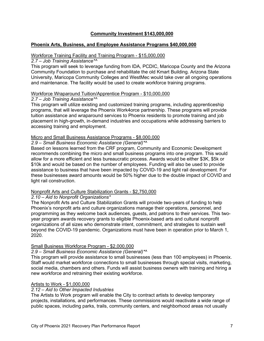#### **Community Investment \$143,000,000**

#### **Phoenix Arts, Business, and Employee Assistance Programs \$40,000,000**

#### Workforce Training Facility and Training Program - \$15,000,000

#### *2.7 – Job Training Assistance\*^*

This program will seek to leverage funding from IDA, PCDIC, Maricopa County and the Arizona Community Foundation to purchase and rehabilitate the old Kmart Building. Arizona State University, Maricopa Community Colleges and WestMec would take over all ongoing operations and maintenance. The facility would be used to create workforce training programs.

#### Workforce Wraparound Tuition/Apprentice Program - \$10,000,000

#### *2.7 – Job Training Assistance\*^*

This program will utilize existing and customized training programs, including apprenticeship programs, that will leverage the Phoenix Work4orce partnership. These programs will provide tuition assistance and wraparound services to Phoenix residents to promote training and job placement in high-growth, in-demand industries and occupations while addressing barriers to accessing training and employment.

#### Micro and Small Business Assistance Programs - \$8,000,000

#### *2.9 – Small Business Economic Assistance (General)\*^*

Based on lessons learned from the CRF program, Community and Economic Development recommends combining the micro and small business programs into one program. This would allow for a more efficient and less bureaucratic process. Awards would be either \$3K, \$5k or \$10k and would be based on the number of employees. Funding will also be used to provide assistance to business that have been impacted by COVID-19 and light rail development. For these businesses award amounts would be 50% higher due to the double impact of COVID and light rail construction.

#### Nonprofit Arts and Culture Stabilization Grants - \$2,750,000

#### *2.10 – Aid to Nonprofit Organizations\**

The Nonprofit Arts and Culture Stabilization Grants will provide two-years of funding to help Phoenix's nonprofit arts and culture organizations manage their operations, personnel, and programming as they welcome back audiences, guests, and patrons to their services. This twoyear program awards recovery grants to eligible Phoenix-based arts and cultural nonprofit organizations of all sizes who demonstrate intent, commitment, and strategies to sustain well beyond the COVID-19 pandemic. Organizations must have been in operation prior to March 1, 2020.

#### Small Business Workforce Program - \$2,000,000

#### *2.9 – Small Business Economic Assistance (General)\*^*

This program will provide assistance to small businesses (less than 100 employees) in Phoenix. Staff would market workforce connections to small businesses through special visits, marketing, social media, chambers and others. Funds will assist business owners with training and hiring a new workforce and retraining their existing workforce.

#### Artists to Work - \$1,000,000

#### *2.12 – Aid to Other Impacted Industries*

The Artists to Work program will enable the City to contract artists to develop temporary projects, installations, and performances. These commissions would reactivate a wide range of public spaces, including parks, trails, community centers, and neighborhood areas not usually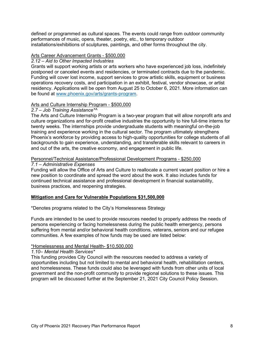defined or programmed as cultural spaces. The events could range from outdoor community performances of music, opera, theater, poetry, etc., to temporary outdoor installations/exhibitions of sculptures, paintings, and other forms throughout the city.

#### Arts Career Advancement Grants - \$500,000

#### *2.12 – Aid to Other Impacted Industries*

Grants will support working artists or arts workers who have experienced job loss, indefinitely postponed or canceled events and residencies, or terminated contracts due to the pandemic. Funding will cover lost income, support services to grow artistic skills, equipment or business operations recovery costs, and participation in an exhibit, festival, vendor showcase, or artist residency. Applications will be open from August 25 to October 6, 2021. More information can be found at [www.phoenix.gov/arts/grants-program.](http://www.phoenix.gov/arts/grants-program)

#### Arts and Culture Internship Program - \$500,000

#### *2.7 – Job Training Assistance\*^*

The Arts and Culture Internship Program is a two-year program that will allow nonprofit arts and culture organizations and for-profit creative industries the opportunity to hire full-time interns for twenty weeks. The internships provide undergraduate students with meaningful on-the-job training and experience working in the cultural sector. The program ultimately strengthens Phoenix's workforce by providing access to high-quality opportunities for college students of all backgrounds to gain experience, understanding, and transferable skills relevant to careers in and out of the arts, the creative economy, and engagement in public life.

#### Personnel/Technical Assistance/Professional Development Programs - \$250,000

#### *7.1 – Administrative Expenses*

Funding will allow the Office of Arts and Culture to reallocate a current vacant position or hire a new position to coordinate and spread the word about the work. It also includes funds for continued technical assistance and professional development in financial sustainability, business practices, and reopening strategies.

#### **Mitigation and Care for Vulnerable Populations \$31,500,000**

#### \*Denotes programs related to the City's Homelessness Strategy

Funds are intended to be used to provide resources needed to properly address the needs of persons experiencing or facing homelessness during the public health emergency, persons suffering from mental and/or behavioral health conditions, veterans, seniors and our refugee communities. A few examples of how funds may be used are listed below:

#### \*Homelessness and Mental Health- \$10,500,000

#### *1.10– Mental Health Services\**

This funding provides City Council with the resources needed to address a variety of opportunities including but not limited to mental and behavioral health, rehabilitation centers, and homelessness. These funds could also be leveraged with funds from other units of local government and the non-profit community to provide regional solutions to these issues. This program will be discussed further at the September 21, 2021 City Council Policy Session.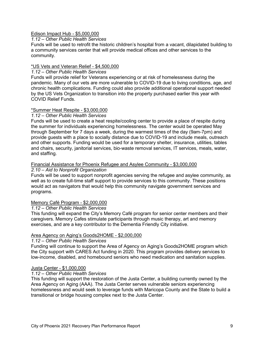#### Edison Impact Hub - \$5,000,000

#### *1.12 – Other Public Health Services*

Funds will be used to retrofit the historic children's hospital from a vacant, dilapidated building to a community services center that will provide medical offices and other services to the community.

#### \*US Vets and Veteran Relief - \$4,500,000

#### *1.12 – Other Public Health Services*

Funds will provide relief for Veterans experiencing or at risk of homelessness during the pandemic. Many of our vets are more vulnerable to COVID-19 due to living conditions, age, and chronic health complications. Funding could also provide additional operational support needed by the US Vets Organization to transition into the property purchased earlier this year with COVID Relief Funds.

#### \*Summer Heat Respite - \$3,000,000

#### *1.12 – Other Public Health Services*

Funds will be used to create a heat respite/cooling center to provide a place of respite during the summer for individuals experiencing homelessness. The center would be operated May through September for 7 days a week, during the warmest times of the day (9am-7pm) and provide guests with a place to socially distance due to COVID-19 and include meals, outreach and other supports. Funding would be used for a temporary shelter, insurance, utilities, tables and chairs, security, janitorial services, bio-waste removal services, IT services, meals, water, and staffing.

#### Financial Assistance for Phoenix Refugee and Asylee Community - \$3,000,000

#### *2.10 – Aid to Nonprofit Organization*

Funds will be used to support nonprofit agencies serving the refugee and asylee community, as well as to create full-time staff support to provide services to this community. These positions would act as navigators that would help this community navigate government services and programs.

#### Memory Café Program - \$2,000,000

#### *1.12 – Other Public Health Services*

This funding will expand the City's Memory Café program for senior center members and their caregivers. Memory Cafes stimulate participants through music therapy, art and memory exercises, and are a key contributor to the Dementia Friendly City initiative.

#### Area Agency on Aging's Goods2HOME - \$2,000,000

#### *1.12 – Other Public Health Services*

Funding will continue to support the Area of Agency on Aging's Goods2HOME program which the City support with CARES Act funding in 2020. This program provides delivery services to low-income, disabled, and homebound seniors who need medication and sanitation supplies.

#### Justa Center - \$1,000,000

#### *1.12 – Other Public Health Services*

This funding will support the restoration of the Justa Center, a building currently owned by the Area Agency on Aging (AAA). The Justa Center serves vulnerable seniors experiencing homelessness and would seek to leverage funds with Maricopa County and the State to build a transitional or bridge housing complex next to the Justa Center.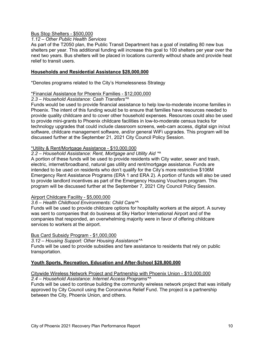#### Bus Stop Shelters - \$500,000

#### *1.12 – Other Public Health Services*

As part of the T2050 plan, the Public Transit Department has a goal of installing 80 new bus shelters per year. This additional funding will increase this goal to 100 shelters per year over the next two years. Bus shelters will be placed in locations currently without shade and provide heat relief to transit users.

#### **Households and Residential Assistance \$28,000,000**

\*Denotes programs related to the City's Homelessness Strategy

#### \*Financial Assistance for Phoenix Families - \$12,000,000

#### *2.3 – Household Assistance: Cash Transfers\*^*

Funds would be used to provide financial assistance to help low-to-moderate income families in Phoenix. The intent of this funding would be to ensure that families have resources needed to provide quality childcare and to cover other household expenses. Resources could also be used to provide mini-grants to Phoenix childcare facilities in low-to-moderate census tracks for technology upgrades that could include classroom screens, web-cam access, digital sign in/out software, childcare management software, and/or general WiFi upgrades. This program will be discussed further at the September 21, 2021 City Council Policy Session.

#### \*Utility & Rent/Mortgage Assistance - \$10,000,000

#### *2.2 – Household Assistance: Rent, Mortgage and Utility Aid \*^*

A portion of these funds will be used to provide residents with City water, sewer and trash, electric, internet/broadband, natural gas utility and rent/mortgage assistance. Funds are intended to be used on residents who don't qualify for the City's more restrictive \$106M Emergency Rent Assistance Programs (ERA 1 and ERA 2). A portion of funds will also be used to provide landlord incentives as part of the Emergency Housing Vouchers program. This program will be discussed further at the September 7, 2021 City Council Policy Session.

#### Airport Childcare Facility - \$5,000,000

#### *3.6 – Health Childhood Environments: Child Care\*^*

Funds will be used to provide childcare options for hospitality workers at the airport. A survey was sent to companies that do business at Sky Harbor International Airport and of the companies that responded, an overwhelming majority were in favor of offering childcare services to workers at the airport.

#### Bus Card Subsidy Program - \$1,000,000

*3.12 – Housing Support: Other Housing Assistance\*^*

Funds will be used to provide subsidies and fare assistance to residents that rely on public transportation.

#### **Youth Sports, Recreation, Education and After-School \$28,800,000**

#### Citywide Wireless Network Project and Partnership with Phoenix Union - \$10,000,000

#### *2.4 – Household Assistance: Internet Access Programs\*^*

Funds will be used to continue building the community wireless network project that was initially approved by City Council using the Coronavirus Relief Fund. The project is a partnership between the City, Phoenix Union, and others.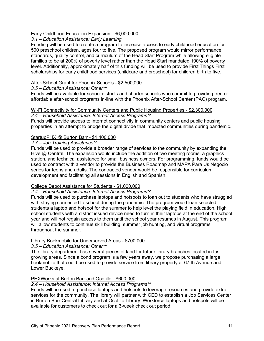#### Early Childhood Education Expansion - \$6,000,000

#### *3.1 – Education Assistance: Early Learning*

Funding will be used to create a program to increase access to early childhood education for 500 preschool children, ages four to five. The proposed program would mirror performance standards, quality control, and curriculum of the Head Start Program while allowing eligible families to be at 200% of poverty level rather than the Head Start mandated 100% of poverty level. Additionally, approximately half of this funding will be used to provide First Things First scholarships for early childhood services (childcare and preschool) for children birth to five.

#### After-School Grant for Phoenix Schools - \$2,500,000

#### *3.5 – Education Assistance: Other\*^*

Funds will be available for school districts and charter schools who commit to providing free or affordable after-school programs in-line with the Phoenix After-School Center (PAC) program.

#### Wi-Fi Connectivity for Community Centers and Public Housing Properties - \$2,300,000 *2.4 – Household Assistance: Internet Access Programs\*^*

Funds will provide access to internet connectivity in community centers and public housing properties in an attempt to bridge the digital divide that impacted communities during pandemic.

#### StartupPHX @ Burton Barr - \$1,400,000

#### *2.7 – Job Training Assistance\*^*

Funds will be used to provide a broader range of services to the community by expanding the Hive @ Central. The expansion would include the addition of two meeting rooms, a graphics station, and technical assistance for small business owners. For programming, funds would be used to contract with a vendor to provide the Business Roadmap and MAPA Para Us Negocio series for teens and adults. The contracted vendor would be responsible for curriculum development and facilitating all sessions in English and Spanish.

#### College Depot Assistance for Students - \$1,000,000

#### *2.4 – Household Assistance: Internet Access Programs\*^*

Funds will be used to purchase laptops and hotspots to loan out to students who have struggled with staying connected to school during the pandemic. The program would loan selected students a laptop and hotspot for the summer to help level the playing field in education. High school students with a district issued device need to turn in their laptops at the end of the school year and will not regain access to them until the school year resumes in August. This program will allow students to continue skill building, summer job hunting, and virtual programs throughout the summer.

#### Library Bookmobile for Underserved Areas - \$700,000

#### *3.5 – Education Assistance: Other\*^*

The library department has several pieces of land for future library branches located in fast growing areas. Since a bond program is a few years away, we propose purchasing a large bookmobile that could be used to provide service from library property at 67tth Avenue and Lower Buckeye.

#### PHXWorks at Burton Barr and Ocotillo - \$600,000

#### *2.4 – Household Assistance: Internet Access Programs\*^*

Funds will be used to purchase laptops and hotspots to leverage resources and provide extra services for the community. The library will partner with CED to establish a Job Services Center in Burton Barr Central Library and at Ocotillo Library. Workforce laptops and hotspots will be available for customers to check out for a 3-week check out period.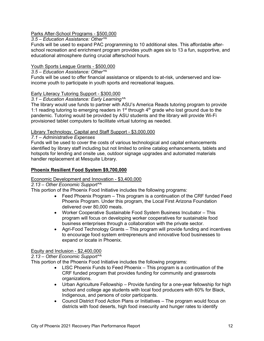#### Parks After-School Programs - \$500,000

#### *3.5 – Education Assistance: Other\*^*

Funds will be used to expand PAC programming to 10 additional sites. This affordable afterschool recreation and enrichment program provides youth ages six to 13 a fun, supportive, and educational atmosphere during crucial afterschool hours.

#### Youth Sports League Grants - \$500,000

#### *3.5 – Education Assistance: Other\*^*

Funds will be used to offer financial assistance or stipends to at-risk, underserved and lowincome youth to participate in youth sports and recreational leagues.

#### Early Literacy Tutoring Support - \$300,000

#### *3.1 – Education Assistance: Early Learning\*^*

The library would use funds to partner with ASU's America Reads tutoring program to provide 1:1 reading tutoring to emerging readers in  $1<sup>st</sup>$  through  $4<sup>th</sup>$  grade who lost ground due to the pandemic. Tutoring would be provided by ASU students and the library will provide Wi-Fi provisioned tablet computers to facilitate virtual tutoring as needed.

#### Library Technology, Capital and Staff Support - \$3,000,000

#### *7.1 – Administrative Expenses*

Funds will be used to cover the costs of various technological and capital enhancements identified by library staff including but not limited to online catalog enhancements, tablets and hotspots for lending and onsite use, outdoor signage upgrades and automated materials handler replacement at Mesquite Library.

#### **Phoenix Resilient Food System \$9,700,000**

#### Economic Development and Innovation - \$3,400,000

#### *2.13 – Other Economic Support\*^*

This portion of the Phoenix Food Initiative includes the following programs:

- Feed Phoenix Program This program is a continuation of the CRF funded Feed Phoenix Program. Under this program, the Local First Arizona Foundation delivered over 80,000 meals.
- Worker Cooperative Sustainable Food System Business Incubator This program will focus on developing worker cooperatives for sustainable food business enterprises through a collaboration with the private sector.
- Agri-Food Technology Grants This program will provide funding and incentives to encourage food system entrepreneurs and innovative food businesses to expand or locate in Phoenix.

#### Equity and Inclusion - \$2,400,000

#### *2.13 – Other Economic Support\*^*

This portion of the Phoenix Food Initiative includes the following programs:

- LISC Phoenix Funds to Feed Phoenix This program is a continuation of the CRF funded program that provides funding for community and grassroots organizations.
- Urban Agriculture Fellowship Provide funding for a one-year fellowship for high school and college age students with local food producers with 60% for Black, Indigenous, and persons of color participants.
- Council District Food Action Plans or Initiatives The program would focus on districts with food deserts, high food insecurity and hunger rates to identify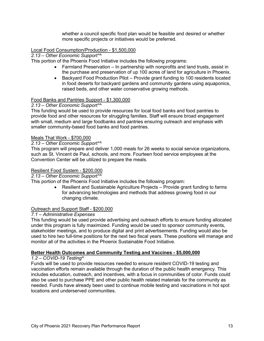whether a council specific food plan would be feasible and desired or whether more specific projects or initiatives would be preferred.

#### Local Food Consumption/Production - \$1,500,000

*2.13 – Other Economic Support\*^*

This portion of the Phoenix Food Initiative includes the following programs:

- Farmland Preservation In partnership with nonprofits and land trusts, assist in the purchase and preservation of up 100 acres of land for agriculture in Phoenix.
- Backyard Food Production Pilot Provide grant funding to 100 residents located in food deserts for backyard gardens and community gardens using aquaponics, raised beds, and other water conservative growing methods.

#### Food Banks and Pantries Support - \$1,300,000

#### *2.13 – Other Economic Support\*^*

This funding would be used to provide resources for local food banks and food pantries to provide food and other resources for struggling families. Staff will ensure broad engagement with small, medium and large foodbanks and pantries ensuring outreach and emphasis with smaller community-based food banks and food pantries.

#### Meals That Work - \$700,000

#### *2.13 – Other Economic Support\*^*

This program will prepare and deliver 1,000 meals for 26 weeks to social service organizations, such as St. Vincent de Paul, schools, and more. Fourteen food service employees at the Convention Center will be utilized to prepare the meals.

#### Resilient Food System - \$200,000

*2.13 – Other Economic Support\*^*

This portion of the Phoenix Food Initiative includes the following program:

• Resilient and Sustainable Agriculture Projects – Provide grant funding to farms for advancing technologies and methods that address growing food in our changing climate.

#### Outreach and Support Staff - \$200,000

#### *7.1 – Administrative Expenses*

This funding would be used provide advertising and outreach efforts to ensure funding allocated under this program is fully maximized. Funding would be used to sponsor community events, stakeholder meetings, and to produce digital and print advertisements. Funding would also be used to hire two full-time positions for the next two fiscal years. These positions will manage and monitor all of the activities in the Phoenix Sustainable Food Initiative.

#### **Better Health Outcomes and Community Testing and Vaccines - \$5,000,000**

#### *1.2 – COVID-19 Testing^*

Funds will be used to provide resources needed to ensure resident COVID-19 testing and vaccination efforts remain available through the duration of the public health emergency. This includes education, outreach, and incentives, with a focus in communities of color. Funds could also be used to purchase PPE and other public health related materials for the community as needed. Funds have already been used to continue mobile testing and vaccinations in hot spot locations and underserved communities.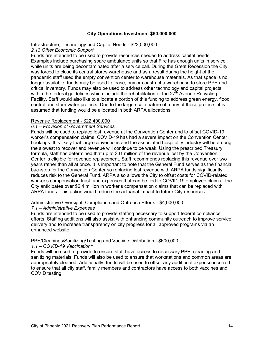#### **City Operations Investment \$50,000,000**

#### Infrastructure, Technology and Capital Needs - \$23,000,000

#### *2.13 Other Economic Support*

Funds are intended to be used to provide resources needed to address capital needs. Examples include purchasing spare ambulance units so that Fire has enough units in service while units are being decontaminated after a service call. During the Great Recession the City was forced to close its central stores warehouse and as a result during the height of the pandemic staff used the empty convention center to warehouse materials. As that space is no longer available, funds may be used to lease, buy or construct a warehouse to store PPE and critical inventory. Funds may also be used to address other technology and capital projects within the federal guidelines which include the rehabilitation of the  $27<sup>th</sup>$  Avenue Recycling Facility. Staff would also like to allocate a portion of this funding to address green energy, flood control and stormwater projects. Due to the large-scale nature of many of these projects, it is assumed that funding would be allocated in both ARPA allocations.

#### Revenue Replacement - \$22,400,000

#### *6.1 – Provision of Government Services*

Funds will be used to replace lost revenue at the Convention Center and to offset COVID-19 worker's compensation claims. COVID-19 has had a severe impact on the Convention Center bookings. It is likely that large conventions and the associated hospitality industry will be among the slowest to recover and revenue will continue to be weak. Using the prescribed Treasury formula, staff has determined that up to \$31 million of the revenue lost by the Convention Center is eligible for revenue replacement. Staff recommends replacing this revenue over two years rather than all at once. It is important to note that the General Fund serves as the financial backstop for the Convention Center so replacing lost revenue with ARPA funds significantly reduces risk to the General Fund. ARPA also allows the City to offset costs for COVID-related worker's compensation trust fund expenses that can be tied to COVID-19 employee claims. The City anticipates over \$2.4 million in worker's compensation claims that can be replaced with ARPA funds. This action would reduce the actuarial impact to future City resources.

#### Administrative Oversight, Compliance and Outreach Efforts - \$4,000,000

#### *7.1 – Administrative Expenses*

Funds are intended to be used to provide staffing necessary to support federal compliance efforts. Staffing additions will also assist with enhancing community outreach to improve service delivery and to increase transparency on city progress for all approved programs via an enhanced website.

#### PPE/Cleanings/Sanitizing/Testing and Vaccine Distribution - \$600,000

#### *1.1 – COVID-19 Vaccination^*

Funds will be used to provide to ensure staff have access to necessary PPE, cleaning and sanitizing materials. Funds will also be used to ensure that workstations and common areas are appropriately cleaned. Additionally, funds will be used to offset any additional expense incurred to ensure that all city staff, family members and contractors have access to both vaccines and COVID testing.